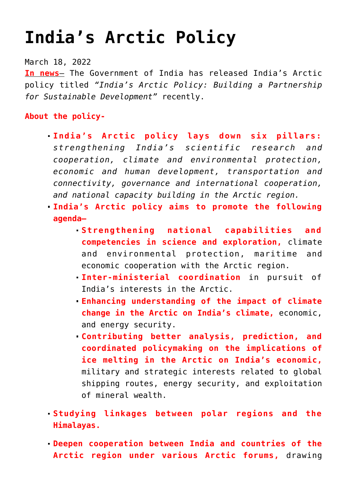# **[India's Arctic Policy](https://journalsofindia.com/indias-arctic-policy-2/)**

### March 18, 2022

**In news**– The Government of India has released India's Arctic policy titled *"India's Arctic Policy: Building a Partnership for Sustainable Development"* recently.

# **About the policy-**

- **India's Arctic policy lays down six pillars:** *strengthening India's scientific research and cooperation, climate and environmental protection, economic and human development, transportation and connectivity, governance and international cooperation, and national capacity building in the Arctic region.*
- **India's Arctic policy aims to promote the following agenda—**
	- **Strengthening national capabilities and competencies in science and exploration,** climate and environmental protection, maritime and economic cooperation with the Arctic region.
	- **Inter-ministerial coordination** in pursuit of India's interests in the Arctic.
	- **Enhancing understanding of the impact of climate change in the Arctic on India's climate,** economic, and energy security.
	- **Contributing better analysis, prediction, and coordinated policymaking on the implications of ice melting in the Arctic on India's economic,** military and strategic interests related to global shipping routes, energy security, and exploitation of mineral wealth.
- **Studying linkages between polar regions and the Himalayas.**
- **Deepen cooperation between India and countries of the Arctic region under various Arctic forums,** drawing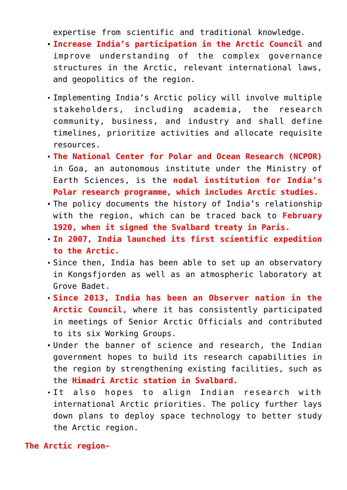expertise from scientific and traditional knowledge.

- **Increase India's participation in the Arctic Council** and improve understanding of the complex governance structures in the Arctic, relevant international laws, and geopolitics of the region.
- Implementing India's Arctic policy will involve multiple stakeholders, including academia, the research community, business, and industry and shall define timelines, prioritize activities and allocate requisite resources.
- **The National Center for Polar and Ocean Research (NCPOR)** in Goa, an autonomous institute under the Ministry of Earth Sciences, is the **nodal institution for India's Polar research programme, which includes Arctic studies.**
- The policy documents the history of India's relationship with the region, which can be traced back to **February 1920, when it signed the Svalbard treaty in Paris.**
- **In 2007, India launched its first scientific expedition to the Arctic.**
- Since then, India has been able to set up an observatory in Kongsfjorden as well as an atmospheric laboratory at Grove Badet.
- **Since 2013, India has been an Observer nation in the Arctic Council,** where it has consistently participated in meetings of Senior Arctic Officials and contributed to its six Working Groups.
- Under the banner of science and research, the Indian government hopes to build its research capabilities in the region by strengthening existing facilities, such as the **Himadri Arctic station in Svalbard.**
- It also hopes to align Indian research with international Arctic priorities. The policy further lays down plans to deploy space technology to better study the Arctic region.

**The Arctic region-**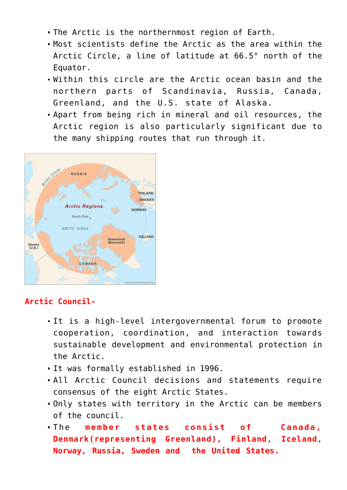- The Arctic is the northernmost region of Earth.
- Most scientists define the Arctic as the area within the Arctic Circle, a line of latitude at 66.5° north of the Equator.
- Within this circle are the Arctic ocean basin and the northern parts of Scandinavia, Russia, Canada, Greenland, and the U.S. state of Alaska.
- Apart from being rich in mineral and oil resources, the Arctic region is also particularly significant due to the many shipping routes that run through it.



## **Arctic Council-**

- It is a high-level intergovernmental forum to promote cooperation, coordination, and interaction towards sustainable development and environmental protection in the Arctic.
- It was formally established in 1996.
- All Arctic Council decisions and statements require consensus of the eight Arctic States.
- Only states with territory in the Arctic can be members of the council.
- The **member states consist of Canada, Denmark(representing Greenland), Finland, Iceland, Norway, Russia, Sweden and the United States.**